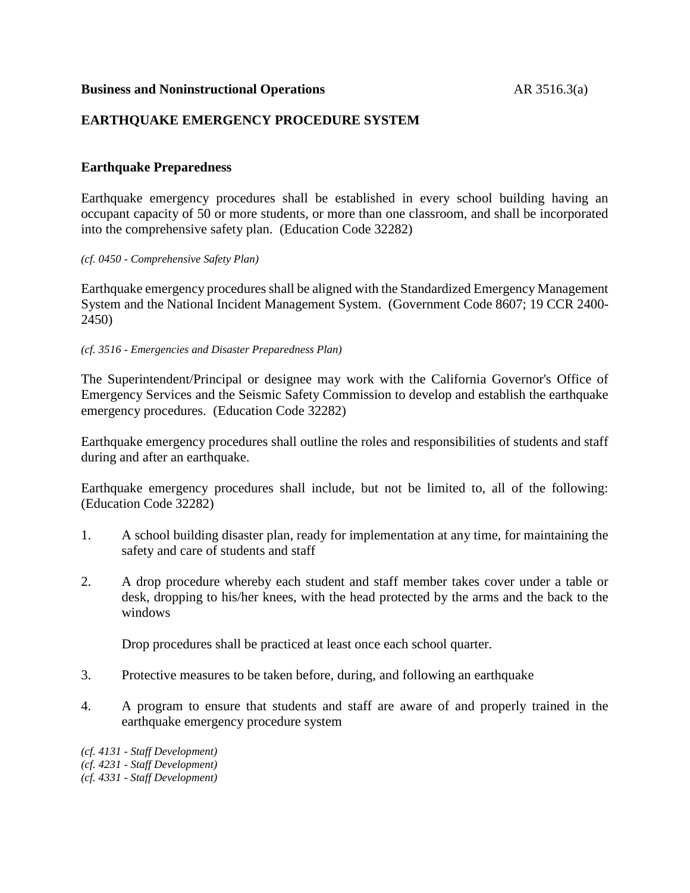#### **Business and Noninstructional Operations** AR 3516.3(a)

# **EARTHQUAKE EMERGENCY PROCEDURE SYSTEM**

# **Earthquake Preparedness**

Earthquake emergency procedures shall be established in every school building having an occupant capacity of 50 or more students, or more than one classroom, and shall be incorporated into the comprehensive safety plan. (Education Code 32282)

#### *(cf. 0450 - Comprehensive Safety Plan)*

Earthquake emergency procedures shall be aligned with the Standardized Emergency Management System and the National Incident Management System. (Government Code 8607; 19 CCR 2400- 2450)

#### *(cf. 3516 - Emergencies and Disaster Preparedness Plan)*

The Superintendent/Principal or designee may work with the California Governor's Office of Emergency Services and the Seismic Safety Commission to develop and establish the earthquake emergency procedures. (Education Code 32282)

Earthquake emergency procedures shall outline the roles and responsibilities of students and staff during and after an earthquake.

Earthquake emergency procedures shall include, but not be limited to, all of the following: (Education Code 32282)

- 1. A school building disaster plan, ready for implementation at any time, for maintaining the safety and care of students and staff
- 2. A drop procedure whereby each student and staff member takes cover under a table or desk, dropping to his/her knees, with the head protected by the arms and the back to the windows

Drop procedures shall be practiced at least once each school quarter.

- 3. Protective measures to be taken before, during, and following an earthquake
- 4. A program to ensure that students and staff are aware of and properly trained in the earthquake emergency procedure system

*(cf. 4131 - Staff Development) (cf. 4231 - Staff Development) (cf. 4331 - Staff Development)*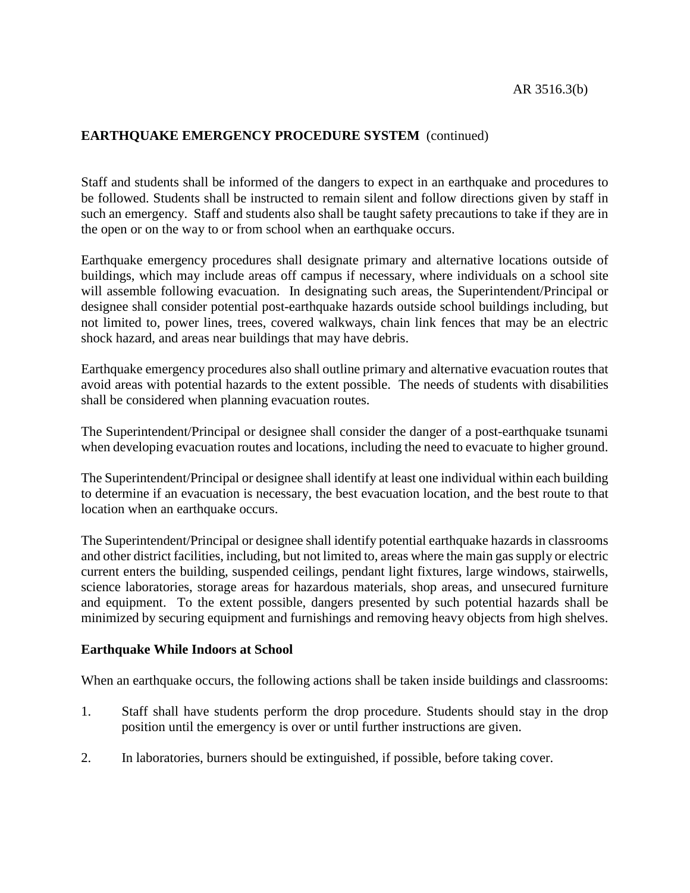Staff and students shall be informed of the dangers to expect in an earthquake and procedures to be followed. Students shall be instructed to remain silent and follow directions given by staff in such an emergency. Staff and students also shall be taught safety precautions to take if they are in the open or on the way to or from school when an earthquake occurs.

Earthquake emergency procedures shall designate primary and alternative locations outside of buildings, which may include areas off campus if necessary, where individuals on a school site will assemble following evacuation. In designating such areas, the Superintendent/Principal or designee shall consider potential post-earthquake hazards outside school buildings including, but not limited to, power lines, trees, covered walkways, chain link fences that may be an electric shock hazard, and areas near buildings that may have debris.

Earthquake emergency procedures also shall outline primary and alternative evacuation routes that avoid areas with potential hazards to the extent possible. The needs of students with disabilities shall be considered when planning evacuation routes.

The Superintendent/Principal or designee shall consider the danger of a post-earthquake tsunami when developing evacuation routes and locations, including the need to evacuate to higher ground.

The Superintendent/Principal or designee shall identify at least one individual within each building to determine if an evacuation is necessary, the best evacuation location, and the best route to that location when an earthquake occurs.

The Superintendent/Principal or designee shall identify potential earthquake hazards in classrooms and other district facilities, including, but not limited to, areas where the main gas supply or electric current enters the building, suspended ceilings, pendant light fixtures, large windows, stairwells, science laboratories, storage areas for hazardous materials, shop areas, and unsecured furniture and equipment. To the extent possible, dangers presented by such potential hazards shall be minimized by securing equipment and furnishings and removing heavy objects from high shelves.

#### **Earthquake While Indoors at School**

When an earthquake occurs, the following actions shall be taken inside buildings and classrooms:

- 1. Staff shall have students perform the drop procedure. Students should stay in the drop position until the emergency is over or until further instructions are given.
- 2. In laboratories, burners should be extinguished, if possible, before taking cover.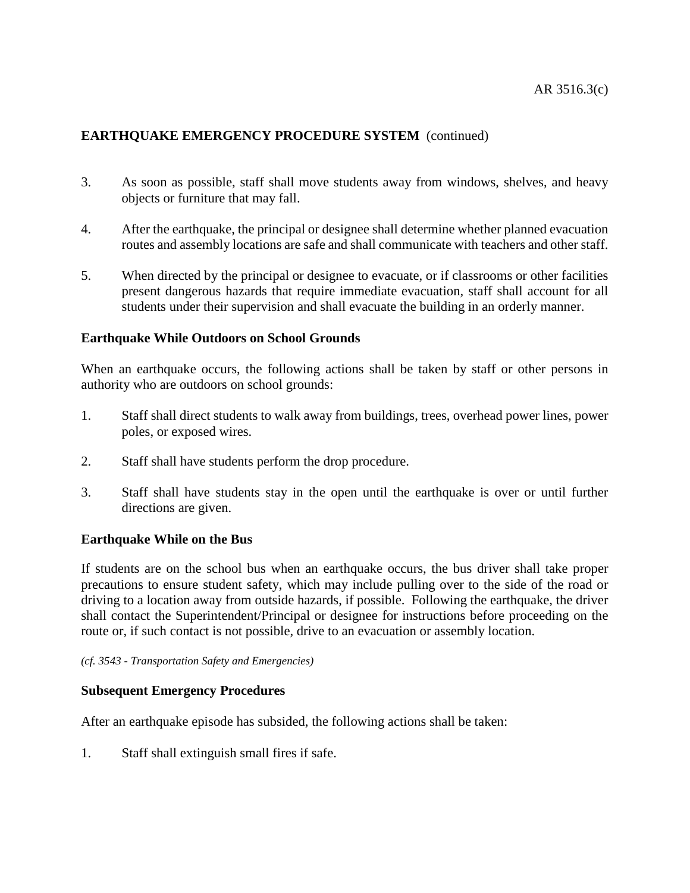- 3. As soon as possible, staff shall move students away from windows, shelves, and heavy objects or furniture that may fall.
- 4. After the earthquake, the principal or designee shall determine whether planned evacuation routes and assembly locations are safe and shall communicate with teachers and other staff.
- 5. When directed by the principal or designee to evacuate, or if classrooms or other facilities present dangerous hazards that require immediate evacuation, staff shall account for all students under their supervision and shall evacuate the building in an orderly manner.

# **Earthquake While Outdoors on School Grounds**

When an earthquake occurs, the following actions shall be taken by staff or other persons in authority who are outdoors on school grounds:

- 1. Staff shall direct students to walk away from buildings, trees, overhead power lines, power poles, or exposed wires.
- 2. Staff shall have students perform the drop procedure.
- 3. Staff shall have students stay in the open until the earthquake is over or until further directions are given.

# **Earthquake While on the Bus**

If students are on the school bus when an earthquake occurs, the bus driver shall take proper precautions to ensure student safety, which may include pulling over to the side of the road or driving to a location away from outside hazards, if possible. Following the earthquake, the driver shall contact the Superintendent/Principal or designee for instructions before proceeding on the route or, if such contact is not possible, drive to an evacuation or assembly location.

#### *(cf. 3543 - Transportation Safety and Emergencies)*

# **Subsequent Emergency Procedures**

After an earthquake episode has subsided, the following actions shall be taken:

1. Staff shall extinguish small fires if safe.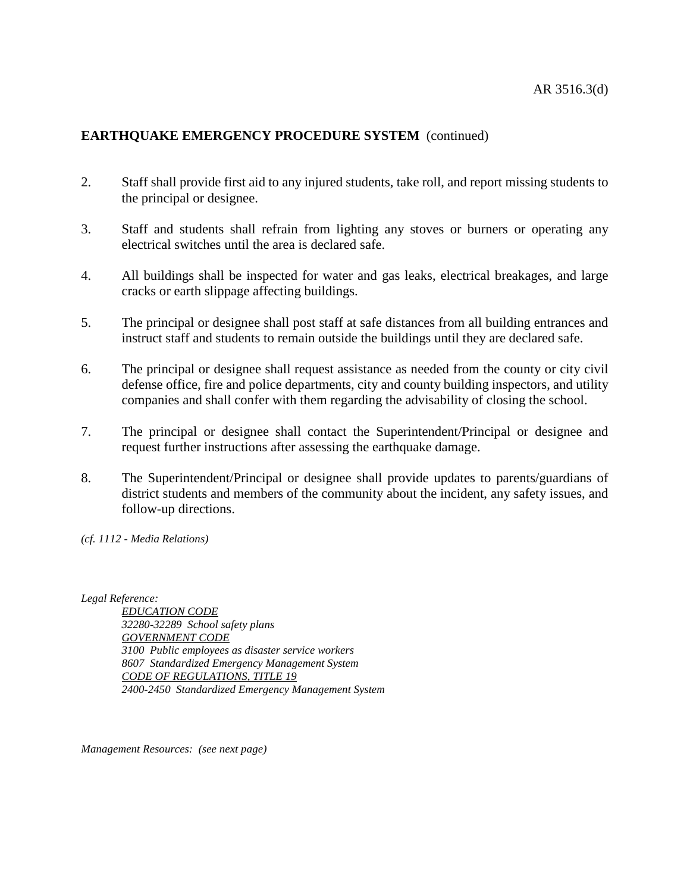- 2. Staff shall provide first aid to any injured students, take roll, and report missing students to the principal or designee.
- 3. Staff and students shall refrain from lighting any stoves or burners or operating any electrical switches until the area is declared safe.
- 4. All buildings shall be inspected for water and gas leaks, electrical breakages, and large cracks or earth slippage affecting buildings.
- 5. The principal or designee shall post staff at safe distances from all building entrances and instruct staff and students to remain outside the buildings until they are declared safe.
- 6. The principal or designee shall request assistance as needed from the county or city civil defense office, fire and police departments, city and county building inspectors, and utility companies and shall confer with them regarding the advisability of closing the school.
- 7. The principal or designee shall contact the Superintendent/Principal or designee and request further instructions after assessing the earthquake damage.
- 8. The Superintendent/Principal or designee shall provide updates to parents/guardians of district students and members of the community about the incident, any safety issues, and follow-up directions.

*(cf. 1112 - Media Relations)*

*Legal Reference:*

*EDUCATION CODE 32280-32289 School safety plans GOVERNMENT CODE 3100 Public employees as disaster service workers 8607 Standardized Emergency Management System CODE OF REGULATIONS, TITLE 19 2400-2450 Standardized Emergency Management System*

*Management Resources: (see next page)*